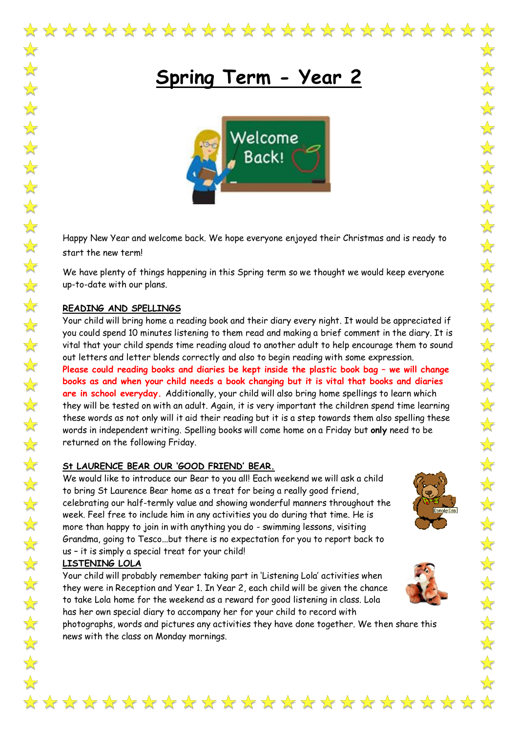

# **Spring Term - Year 2**



Happy New Year and welcome back. We hope everyone enjoyed their Christmas and is ready to start the new term!

We have plenty of things happening in this Spring term so we thought we would keep everyone up-to-date with our plans.

### **READING AND SPELLINGS**

 $\frac{1}{2}$ 

 $\sqrt{\sqrt{25}}$ 

 $\sqrt{\sqrt{2}}$ 

 $\frac{1}{2}$ 

 $\frac{1}{2}$ 

 $\frac{1}{2}$ 

 $\frac{1}{2}$ 

\*\*\*\*\*\*\*\*\*\*\*\*

 $\sqrt{\frac{1}{2}}$ 

 $\frac{1}{2}$ 

 $\sqrt{\frac{1}{2}}$ 

 $\frac{1}{2}$ 

 $\frac{1}{2}$ 

 $\sqrt{\frac{1}{2}}$ 

 $\sqrt{\sqrt{25}}$ 

 $\frac{1}{2}$ 

 $\sqrt{\frac{1}{2}}$ 

2222222

 $\frac{1}{\sqrt{2}}$ 

Your child will bring home a reading book and their diary every night. It would be appreciated if you could spend 10 minutes listening to them read and making a brief comment in the diary. It is vital that your child spends time reading aloud to another adult to help encourage them to sound out letters and letter blends correctly and also to begin reading with some expression.

**Please could reading books and diaries be kept inside the plastic book bag – we will change books as and when your child needs a book changing but it is vital that books and diaries are in school everyday.** Additionally, your child will also bring home spellings to learn which they will be tested on with an adult. Again, it is very important the children spend time learning these words as not only will it aid their reading but it is a step towards them also spelling these words in independent writing. Spelling books will come home on a Friday but **only** need to be returned on the following Friday.

#### **St LAURENCE BEAR OUR 'GOOD FRIEND' BEAR.**

We would like to introduce our Bear to you all! Each weekend we will ask a child to bring St Laurence Bear home as a treat for being a really good friend, celebrating our half-termly value and showing wonderful manners throughout the week. Feel free to include him in any activities you do during that time. He is more than happy to join in with anything you do - swimming lessons, visiting Grandma, going to Tesco...but there is no expectation for you to report back to us – it is simply a special treat for your child!

#### **LISTENING LOLA**

Your child will probably remember taking part in 'Listening Lola' activities when they were in Reception and Year 1. In Year 2, each child will be given the chance to take Lola home for the weekend as a reward for good listening in class. Lola has her own special diary to accompany her for your child to record with

photographs, words and pictures any activities they have done together. We then share this news with the class on Monday mornings.